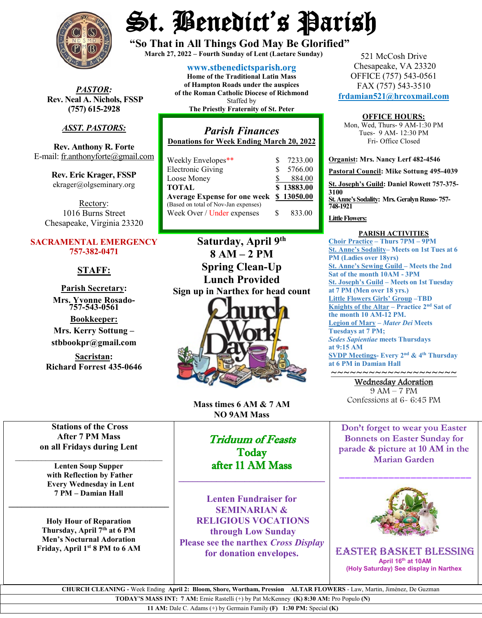

*PASTOR:* **Rev. Neal A. Nichols, FSSP (757) 615-2928** 

## *ASST. PASTORS:*

**Rev. Anthony R. Forte** E-mail[: fr.anthonyforte@gmail.com](mailto:fr.anthonyforte@gmail.com)

> **Rev. Eric Krager, FSSP** ekrager@olgseminary.org

Rectory: 1016 Burns Street Chesapeake, Virginia 23320

### **SACRAMENTAL EMERGENCY 757-382-0471**

## **STAFF:**

**Parish Secretary: Mrs. Yvonne Rosado- 757-543-0561**

**Bookkeeper: Mrs. Kerry Sottung – stbbookpr@gmail.com**

**Sacristan: Richard Forrest 435-0646**

# St. Benedict's Parish

**"So That in All Things God May Be Glorified" March 27, <sup>2022</sup> – Fourth Sunday of Lent (Laetare Sunday)**

**[www.stbenedictsparish.org](http://www.stbenedictsparish.org/) Home of the Traditional Latin Mass of Hampton Roads under the auspices of the Roman Catholic Diocese of Richmond** Staffed by **The Priestly Fraternity of St. Peter**

## *Parish Finances* **Donations for Week Ending March 20, 2022** Weekly Envelopes\*\* \$ 7233.00

| <b>Electronic Giving</b>                | S  | 5766.00    |
|-----------------------------------------|----|------------|
| Loose Money                             |    | 884.00     |
| TOTAL                                   |    | \$13883.00 |
| Average Expense for one week \$13050.00 |    |            |
| (Based on total of Nov-Jan expenses)    |    |            |
| Week Over / Under expenses              | S. | 833.00     |

**Saturday, April 9th 8 AM – 2 PM Spring Clean-Up Lunch Provided Sign up in Narthex for head count**



**Mass times 6 AM & 7 AM NO 9AM Mass**

## Triduum of Feasts Today after 11 AM Mass

**\_\_\_\_\_\_\_\_\_\_\_\_\_\_\_\_\_\_\_\_\_\_\_\_\_\_\_\_\_\_\_**

**Lenten Fundraiser for SEMINARIAN & RELIGIOUS VOCATIONS through Low Sunday Please see the narthex** *Cross Display* **for donation envelopes.**

521 McCosh Drive Chesapeake, VA 23320 OFFICE (757) 543-0561 FAX (757) 543-3510 **[frdamian521@hrcoxmail.com](mailto:frdamian521@hrcoxmail.com)**

## **OFFICE HOURS:**

Mon, Wed, Thurs- 9 AM-1:30 PM Tues- 9 AM- 12:30 PM Fri- Office Closed

**Organist: Mrs. Nancy Lerf 482-4546 Pastoral Council: Mike Sottung 495-4039 St. Joseph's Guild: Daniel Rowett 757-375- 3100 St. Anne's Sodality: Mrs. Geralyn Russo-757- 748-1921**

### **Little Flowers:**

### **PARISH ACTIVITIES**

**Choir Practice – Thurs 7PM – 9PM St. Anne's Sodality– Meets on 1st Tues at 6 PM (Ladies over 18yrs) St. Anne's Sewing Guild – Meets the 2nd Sat of the month 10AM - 3PM St. Joseph's Guild – Meets on 1st Tuesday at 7 PM (Men over 18 yrs.) Little Flowers Girls' Group –TBD Knights of the Altar – Practice 2nd Sat of the month 10 AM-12 PM. Legion of Mary –** *Mater Dei* **Meets Tuesdays at 7 PM;**  *Sedes Sapientiae* **meets Thursdays at 9:15 AM SVDP Meetings- Every 2nd & 4th Thursday at 6 PM in Damian Hall**

## ~~~~~~~~~~~~~~~~~~~~ Wednesday Adoration

9 AM – 7 PM Confessions at 6- 6:45 PM

**Don't forget to wear you Easter Bonnets on Easter Sunday for parade & picture at 10 AM in the Marian Garden**

\_\_\_\_\_\_\_\_\_\_\_\_\_\_\_\_\_\_\_\_\_\_\_\_



EASTER Basket Blessing **April 16th at 10AM (Holy Saturday) See display in Narthex**

**Stations of the Cross After 7 PM Mass on all Fridays during Lent**

\_\_\_\_\_\_\_\_\_\_\_\_\_\_\_\_\_\_\_\_\_\_\_\_\_\_\_\_\_\_\_\_\_\_

**Lenten Soup Supper with Reflection by Father Every Wednesday in Lent 7 PM – Damian Hall**

**\_\_\_\_\_\_\_\_\_\_\_\_\_\_\_\_\_\_\_\_\_\_\_\_\_\_\_\_\_\_\_\_\_\_\_\_\_**

**Holy Hour of Reparation Thursday, April 7th at 6 PM Men's Nocturnal Adoration Friday, April 1st 8 PM to 6 AM**

> **CHURCH CLEANING -** Week Ending **April 2: Bloom, Shore, Wortham, Pression ALTAR FLOWERS** - Law, Martin, Jiménez, De Guzman **TODAY'S MASS INT: 7 AM:** Ernie Rastelli (+) by Pat McKenney **(K) 8:30 AM:** Pro Populo **(N)**

**11 AM:** Dale C. Adams (+) by Germain Family **(F) 1:30 PM:** Special **(K)**